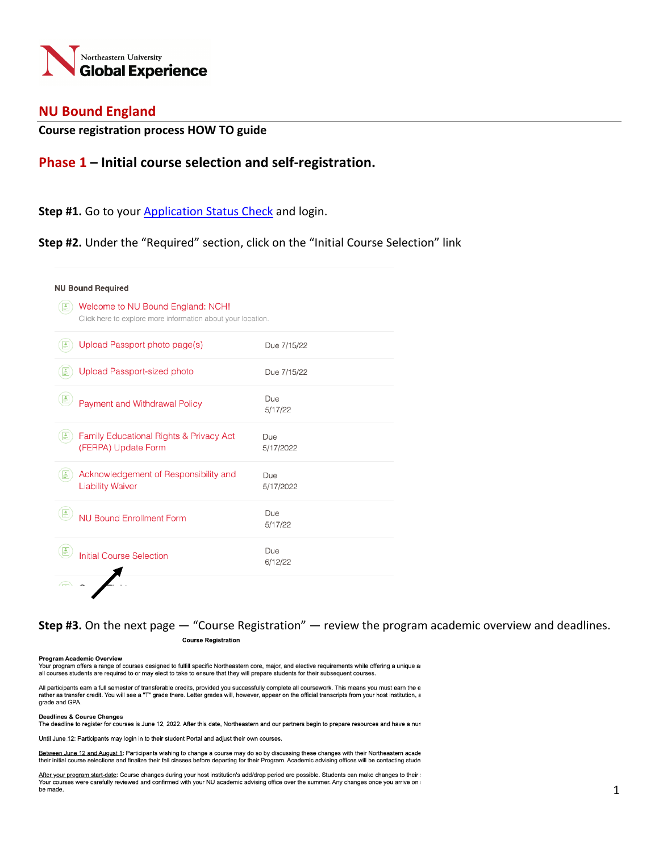

## **NU Bound England**

## **Course registration process HOW TO guide**

## **Phase 1 – Initial course selection and self-registration.**

### **Step #1.** Go to your Application Status Check and login.

**Step #2.** Under the "Required" section, click on the "Initial Course Selection" link

| <b>NU Bound Required</b> |                                                                                                  |                  |
|--------------------------|--------------------------------------------------------------------------------------------------|------------------|
|                          | Welcome to NU Bound England: NCH!<br>Click here to explore more information about your location. |                  |
|                          | Upload Passport photo page(s)                                                                    | Due 7/15/22      |
|                          | <b>Upload Passport-sized photo</b>                                                               | Due 7/15/22      |
|                          | Payment and Withdrawal Policy                                                                    | Due<br>5/17/22   |
|                          | Family Educational Rights & Privacy Act<br>(FERPA) Update Form                                   | Due<br>5/17/2022 |
|                          | Acknowledgement of Responsibility and<br><b>Liability Waiver</b>                                 | Due<br>5/17/2022 |
|                          | <b>NU Bound Enrollment Form</b>                                                                  | Due<br>5/17/22   |
|                          | <b>Initial Course Selection</b>                                                                  | Due<br>6/12/22   |
|                          |                                                                                                  |                  |

**Step #3.** On the next page — "Course Registration" — review the program academic overview and deadlines.**Course Registration** 

#### Program Academic Overview

Your program offers a range of courses designed to fulfill specific Northeastern core, major, and elective requirements while offering a unique ar all courses students are required to or may elect to take to ensure that they will prepare students for their subsequent courses.

All participants earn a full semester of transferable credits, provided you successfully complete all coursework. This means you must earn the e rather as transfer credit. You will see a "T" grade there. Letter grades will, however, appear on the official transcripts from your host institution, a grade and GPA.

#### **Deadlines & Course Changes**

The deadline to register for courses is June 12, 2022. After this date, Northeastern and our partners begin to prepare resources and have a nun

Until June 12: Participants may login in to their student Portal and adjust their own courses.

Between June 12 and August 1: Participants wishing to change a course may do so by discussing these changes with their Northeastern acade their initial course selections and finalize their fall classes before departing for their Program. Academic advising offices will be contacting stude

After your program start-date: Course changes during your host institution's add/drop period are possible. Students can make changes to their s Your courses were carefully reviewed and confirmed with your NU academic advising office over the summer. Any changes once you arrive on a be made.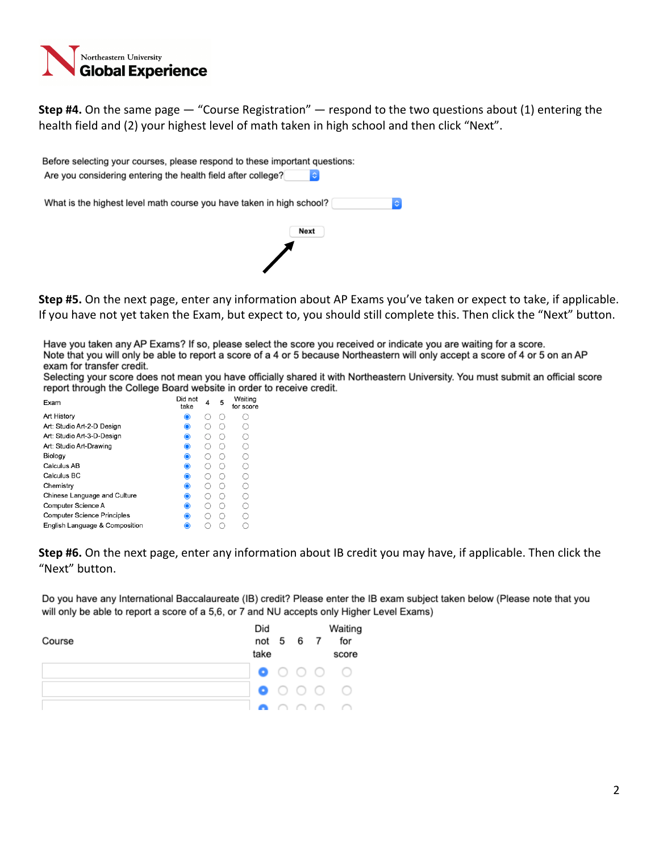

**Step #4.** On the same page — "Course Registration" — respond to the two questions about (1) entering the health field and (2) your highest level of math taken in high school and then click "Next".

| Before selecting your courses, please respond to these important questions:<br>Are you considering entering the health field after college?<br>G |
|--------------------------------------------------------------------------------------------------------------------------------------------------|
| What is the highest level math course you have taken in high school?<br><b>C</b>                                                                 |
| Next                                                                                                                                             |
|                                                                                                                                                  |
|                                                                                                                                                  |

**Step #5.** On the next page, enter any information about AP Exams you've taken or expect to take, if applicable. If you have not yet taken the Exam, but expect to, you should still complete this. Then click the "Next" button.

Have you taken any AP Exams? If so, please select the score you received or indicate you are waiting for a score. Note that you will only be able to report a score of a 4 or 5 because Northeastern will only accept a score of 4 or 5 on an AP exam for transfer credit.

Selecting your score does not mean you have officially shared it with Northeastern University. You must submit an official score report through the College Board website in order to receive credit.

| Exam                               | Did not<br>take | 4  | 5 | Waiting<br>for score |
|------------------------------------|-----------------|----|---|----------------------|
| Art History                        | $\bullet$       |    |   |                      |
| Art: Studio Art-2-D Design         | $\bullet$       |    |   |                      |
| Art: Studio Art-3-D-Design         | $\bullet$       |    |   |                      |
| Art: Studio Art-Drawing            | ◉               |    |   | ∩                    |
| Biology                            | $\bullet$       |    |   |                      |
| Calculus AB                        | $\bullet$       |    |   |                      |
| Calculus BC                        | $\bullet$       |    |   | ∩                    |
| Chemistry                          | $\bullet$       | ι. |   |                      |
| Chinese Language and Culture       | ◉               |    |   |                      |
| Computer Science A                 | $\bullet$       |    |   |                      |
| <b>Computer Science Principles</b> | ◉               |    |   |                      |
| English Language & Composition     | $\bullet$       |    |   |                      |

**Step #6.** On the next page, enter any information about IB credit you may have, if applicable. Then click the "Next" button.

Do you have any International Baccalaureate (IB) credit? Please enter the IB exam subject taken below (Please note that you will only be able to report a score of a 5,6, or 7 and NU accepts only Higher Level Exams)

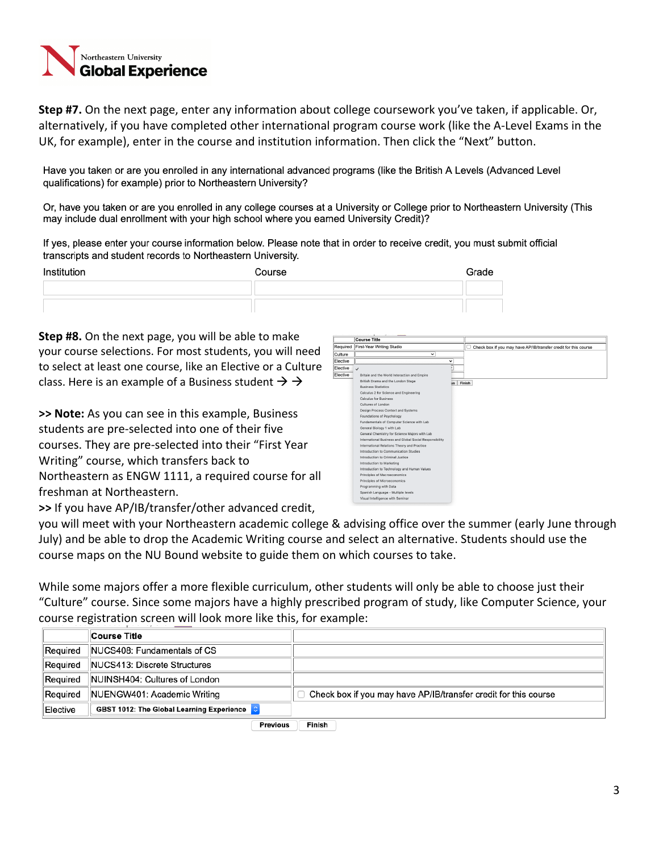# ortheastern University **Global Experience**

**Step #7.** On the next page, enter any information about college coursework you've taken, if applicable. Or, alternatively, if you have completed other international program course work (like the A-Level Exams in the UK, for example), enter in the course and institution information. Then click the "Next" button.

Have you taken or are you enrolled in any international advanced programs (like the British A Levels (Advanced Level qualifications) for example) prior to Northeastern University?

Or, have you taken or are you enrolled in any college courses at a University or College prior to Northeastern University (This may include dual enrollment with your high school where you earned University Credit)?

If yes, please enter your course information below. Please note that in order to receive credit, you must submit official transcripts and student records to Northeastern University.

| Institution | Course | Grade |
|-------------|--------|-------|
|             |        |       |
|             |        |       |

**Step #8.** On the next page, you will be able to make your course selections. For most students, you will need to select at least one course, like an Elective or a Culture class. Here is an example of a Business student  $\rightarrow \rightarrow$ 

**>> Note:** As you can see in this example, Business students are pre-selected into one of their five courses. They are pre-selected into their "First Year Writing" course, which transfers back to Northeastern as ENGW 1111, a required course for all freshman at Northeastern.



**>>** If you have AP/IB/transfer/other advanced credit,

you will meet with your Northeastern academic college & advising office over the summer (early June through July) and be able to drop the Academic Writing course and select an alternative. Students should use the course maps on the NU Bound website to guide them on which courses to take.

While some majors offer a more flexible curriculum, other students will only be able to choose just their "Culture" course. Since some majors have a highly prescribed program of study, like Computer Science, your course registration screen will look more like this, for example:

|          | <b>Course Title</b>                       |                                                                 |
|----------|-------------------------------------------|-----------------------------------------------------------------|
| Required | NUCS408: Fundamentals of CS               |                                                                 |
| Required | NUCS413: Discrete Structures              |                                                                 |
| Required | NUINSH404: Cultures of London             |                                                                 |
| Required | NUENGW401: Academic Writing               | Check box if you may have AP/IB/transfer credit for this course |
| Elective | GBST 1012: The Global Learning Experience |                                                                 |
|          | <b>Previous</b>                           | Finish                                                          |